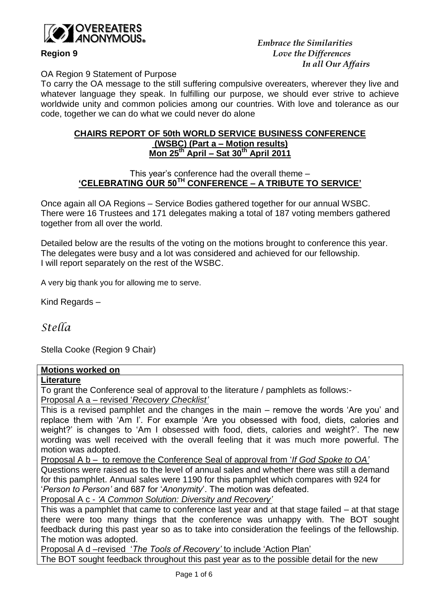

 *Embrace the Similarities* **Region 9** *Love the Differences In all Our Affairs*

OA Region 9 Statement of Purpose

To carry the OA message to the still suffering compulsive overeaters, wherever they live and whatever language they speak. In fulfilling our purpose, we should ever strive to achieve worldwide unity and common policies among our countries. With love and tolerance as our code, together we can do what we could never do alone

### **CHAIRS REPORT OF 50th WORLD SERVICE BUSINESS CONFERENCE (WSBC) (Part a – Motion results) Mon 25 th April – Sat 30th April 2011**

# This year's conference had the overall theme – **'CELEBRATING OUR 50TH CONFERENCE – A TRIBUTE TO SERVICE'**

Once again all OA Regions – Service Bodies gathered together for our annual WSBC. There were 16 Trustees and 171 delegates making a total of 187 voting members gathered together from all over the world.

Detailed below are the results of the voting on the motions brought to conference this year. The delegates were busy and a lot was considered and achieved for our fellowship. I will report separately on the rest of the WSBC.

A very big thank you for allowing me to serve.

Kind Regards –

*Stella*

Stella Cooke (Region 9 Chair)

## **Motions worked on**

### **Literature**

To grant the Conference seal of approval to the literature / pamphlets as follows:- Proposal A a – revised '*Recovery Checklist'*

This is a revised pamphlet and the changes in the main – remove the words 'Are you' and replace them with 'Am I'. For example 'Are you obsessed with food, diets, calories and weight?' is changes to 'Am I obsessed with food, diets, calories and weight?'. The new wording was well received with the overall feeling that it was much more powerful. The motion was adopted.

Proposal A b – to remove the Conference Seal of approval from '*If God Spoke to OA'* Questions were raised as to the level of annual sales and whether there was still a demand for this pamphlet. Annual sales were 1190 for this pamphlet which compares with 924 for '*Person to Person'* and 687 for '*Anonymity*'. The motion was defeated.

Proposal A c - *'A Common Solution: Diversity and Recovery'* 

This was a pamphlet that came to conference last year and at that stage failed – at that stage there were too many things that the conference was unhappy with. The BOT sought feedback during this past year so as to take into consideration the feelings of the fellowship. The motion was adopted.

Proposal A d –revised '*The Tools of Recovery'* to include 'Action Plan' The BOT sought feedback throughout this past year as to the possible detail for the new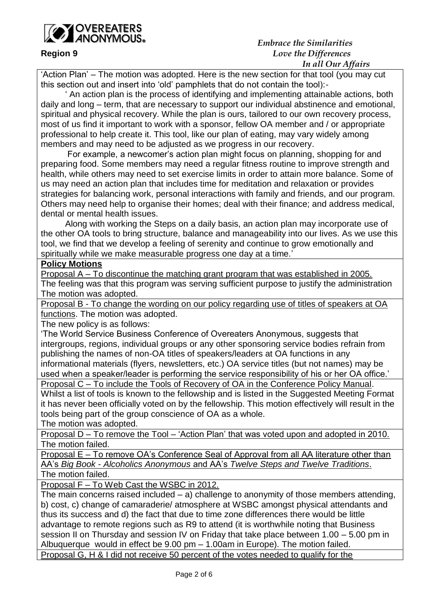

## *Embrace the Similarities* **Region 9** *Love the Differences In all Our Affairs*

'Action Plan' – The motion was adopted. Here is the new section for that tool (you may cut this section out and insert into 'old' pamphlets that do not contain the tool):-

 ' An action plan is the process of identifying and implementing attainable actions, both daily and long – term, that are necessary to support our individual abstinence and emotional, spiritual and physical recovery. While the plan is ours, tailored to our own recovery process, most of us find it important to work with a sponsor, fellow OA member and / or appropriate professional to help create it. This tool, like our plan of eating, may vary widely among members and may need to be adjusted as we progress in our recovery.

 For example, a newcomer's action plan might focus on planning, shopping for and preparing food. Some members may need a regular fitness routine to improve strength and health, while others may need to set exercise limits in order to attain more balance. Some of us may need an action plan that includes time for meditation and relaxation or provides strategies for balancing work, personal interactions with family and friends, and our program. Others may need help to organise their homes; deal with their finance; and address medical, dental or mental health issues.

 Along with working the Steps on a daily basis, an action plan may incorporate use of the other OA tools to bring structure, balance and manageability into our lives. As we use this tool, we find that we develop a feeling of serenity and continue to grow emotionally and spiritually while we make measurable progress one day at a time.'

## **Policy Motions**

Proposal A – To discontinue the matching grant program that was established in 2005. The feeling was that this program was serving sufficient purpose to justify the administration The motion was adopted.

Proposal B - To change the wording on our policy regarding use of titles of speakers at OA

functions. The motion was adopted.

The new policy is as follows:

'The World Service Business Conference of Overeaters Anonymous, suggests that intergroups, regions, individual groups or any other sponsoring service bodies refrain from publishing the names of non-OA titles of speakers/leaders at OA functions in any informational materials (flyers, newsletters, etc.) OA service titles (but not names) may be used when a speaker/leader is performing the service responsibility of his or her OA office.'

Proposal C – To include the Tools of Recovery of OA in the Conference Policy Manual. Whilst a list of tools is known to the fellowship and is listed in the Suggested Meeting Format it has never been officially voted on by the fellowship. This motion effectively will result in the tools being part of the group conscience of OA as a whole.

The motion was adopted.

Proposal D – To remove the Tool – 'Action Plan' that was voted upon and adopted in 2010. The motion failed.

Proposal E – To remove OA's Conference Seal of Approval from all AA literature other than AA's *Big Book* - *Alcoholics Anonymous* and AA's *Twelve Steps and Twelve Traditions*. The motion failed.

Proposal F – To Web Cast the WSBC in 2012.

The main concerns raised included  $-$  a) challenge to anonymity of those members attending, b) cost, c) change of camaraderie/ atmosphere at WSBC amongst physical attendants and thus its success and d) the fact that due to time zone differences there would be little advantage to remote regions such as R9 to attend (it is worthwhile noting that Business session II on Thursday and session IV on Friday that take place between 1.00 – 5.00 pm in Albuquerque would in effect be 9.00 pm – 1.00am in Europe). The motion failed. Proposal G, H & I did not receive 50 percent of the votes needed to qualify for the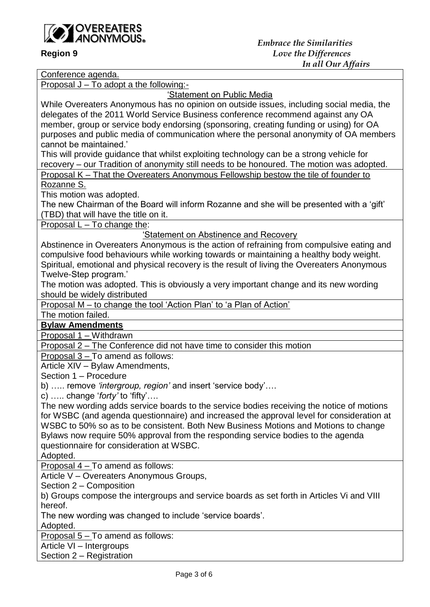

Conference agenda. Proposal J – To adopt a the following:- 'Statement on Public Media While Overeaters Anonymous has no opinion on outside issues, including social media, the delegates of the 2011 World Service Business conference recommend against any OA member, group or service body endorsing (sponsoring, creating funding or using) for OA purposes and public media of communication where the personal anonymity of OA members cannot be maintained.' This will provide guidance that whilst exploiting technology can be a strong vehicle for recovery – our Tradition of anonymity still needs to be honoured. The motion was adopted. Proposal K – That the Overeaters Anonymous Fellowship bestow the tile of founder to Rozanne S. This motion was adopted. The new Chairman of the Board will inform Rozanne and she will be presented with a 'gift' (TBD) that will have the title on it. Proposal L – To change the: 'Statement on Abstinence and Recovery Abstinence in Overeaters Anonymous is the action of refraining from compulsive eating and compulsive food behaviours while working towards or maintaining a healthy body weight. Spiritual, emotional and physical recovery is the result of living the Overeaters Anonymous Twelve-Step program.' The motion was adopted. This is obviously a very important change and its new wording should be widely distributed Proposal M – to change the tool 'Action Plan' to 'a Plan of Action' The motion failed. **Bylaw Amendments** Proposal 1 – Withdrawn Proposal 2 – The Conference did not have time to consider this motion Proposal 3 – To amend as follows: Article XIV – Bylaw Amendments, Section 1 – Procedure b) ….. remove *'intergroup, region'* and insert 'service body'…. c) ….. change '*forty'* to 'fifty'…. The new wording adds service boards to the service bodies receiving the notice of motions for WSBC (and agenda questionnaire) and increased the approval level for consideration at WSBC to 50% so as to be consistent. Both New Business Motions and Motions to change Bylaws now require 50% approval from the responding service bodies to the agenda questionnaire for consideration at WSBC. Adopted. Proposal 4 – To amend as follows: Article V – Overeaters Anonymous Groups, Section 2 – Composition b) Groups compose the intergroups and service boards as set forth in Articles Vi and VIII hereof. The new wording was changed to include 'service boards'. Adopted. Proposal 5 – To amend as follows: Article VI – Intergroups

Section 2 – Registration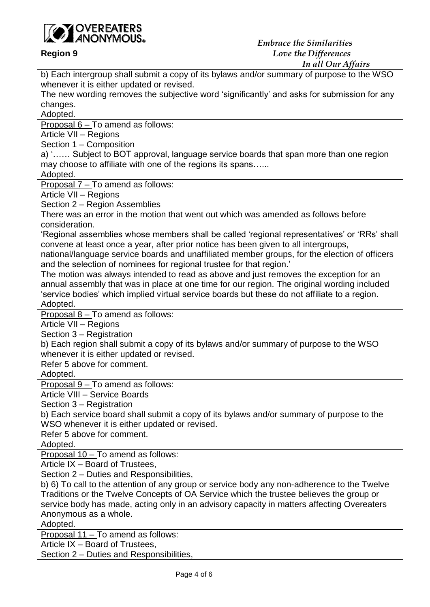

*In all Our Affairs*

b) Each intergroup shall submit a copy of its bylaws and/or summary of purpose to the WSO whenever it is either updated or revised. The new wording removes the subjective word 'significantly' and asks for submission for any changes. Adopted. Proposal  $6 - To$  amend as follows: Article VII – Regions Section 1 – Composition a) '…… Subject to BOT approval, language service boards that span more than one region may choose to affiliate with one of the regions its spans…... Adopted. Proposal 7 – To amend as follows: Article VII – Regions Section 2 – Region Assemblies There was an error in the motion that went out which was amended as follows before consideration. 'Regional assemblies whose members shall be called 'regional representatives' or 'RRs' shall convene at least once a year, after prior notice has been given to all intergroups, national/language service boards and unaffiliated member groups, for the election of officers and the selection of nominees for regional trustee for that region.' The motion was always intended to read as above and just removes the exception for an annual assembly that was in place at one time for our region. The original wording included 'service bodies' which implied virtual service boards but these do not affiliate to a region. Adopted. Proposal 8 – To amend as follows: Article VII – Regions Section 3 – Registration b) Each region shall submit a copy of its bylaws and/or summary of purpose to the WSO whenever it is either updated or revised. Refer 5 above for comment. Adopted. Proposal 9 – To amend as follows: Article VIII – Service Boards Section 3 – Registration b) Each service board shall submit a copy of its bylaws and/or summary of purpose to the WSO whenever it is either updated or revised. Refer 5 above for comment. Adopted. Proposal 10 – To amend as follows: Article IX – Board of Trustees, Section 2 – Duties and Responsibilities, b) 6) To call to the attention of any group or service body any non-adherence to the Twelve Traditions or the Twelve Concepts of OA Service which the trustee believes the group or service body has made, acting only in an advisory capacity in matters affecting Overeaters Anonymous as a whole. Adopted. Proposal 11 – To amend as follows: Article IX – Board of Trustees,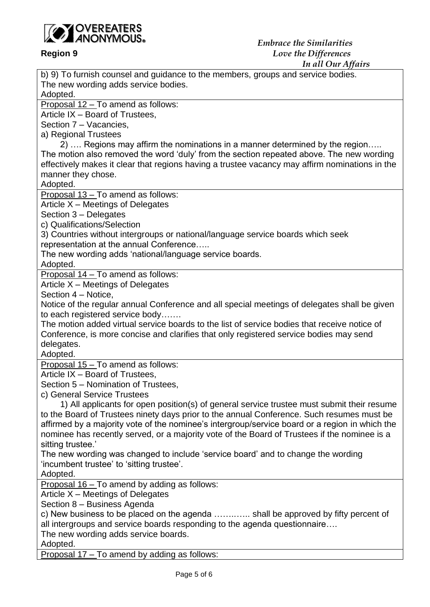

b) 9) To furnish counsel and guidance to the members, groups and service bodies. The new wording adds service bodies. Adopted.

Proposal 12 – To amend as follows:

Article IX – Board of Trustees,

Section 7 – Vacancies,

a) Regional Trustees

 2) …. Regions may affirm the nominations in a manner determined by the region….. The motion also removed the word 'duly' from the section repeated above. The new wording effectively makes it clear that regions having a trustee vacancy may affirm nominations in the manner they chose.

Adopted.

Proposal 13 – To amend as follows:

Article X – Meetings of Delegates

Section 3 – Delegates

c) Qualifications/Selection

3) Countries without intergroups or national/language service boards which seek representation at the annual Conference…..

The new wording adds 'national/language service boards.

Adopted.

Proposal 14 – To amend as follows:

Article X – Meetings of Delegates

Section 4 – Notice,

Notice of the regular annual Conference and all special meetings of delegates shall be given to each registered service body…….

The motion added virtual service boards to the list of service bodies that receive notice of Conference, is more concise and clarifies that only registered service bodies may send delegates.

Adopted.

Proposal 15 – To amend as follows:

Article IX – Board of Trustees,

Section 5 – Nomination of Trustees,

c) General Service Trustees

 1) All applicants for open position(s) of general service trustee must submit their resume to the Board of Trustees ninety days prior to the annual Conference. Such resumes must be affirmed by a majority vote of the nominee's intergroup/service board or a region in which the nominee has recently served, or a majority vote of the Board of Trustees if the nominee is a sitting trustee.'

The new wording was changed to include 'service board' and to change the wording 'incumbent trustee' to 'sitting trustee'.

Adopted.

Proposal 16 – To amend by adding as follows:

Article X – Meetings of Delegates

Section 8 – Business Agenda

c) New business to be placed on the agenda ……..….. shall be approved by fifty percent of all intergroups and service boards responding to the agenda questionnaire….

The new wording adds service boards.

Adopted.

Proposal 17 – To amend by adding as follows: